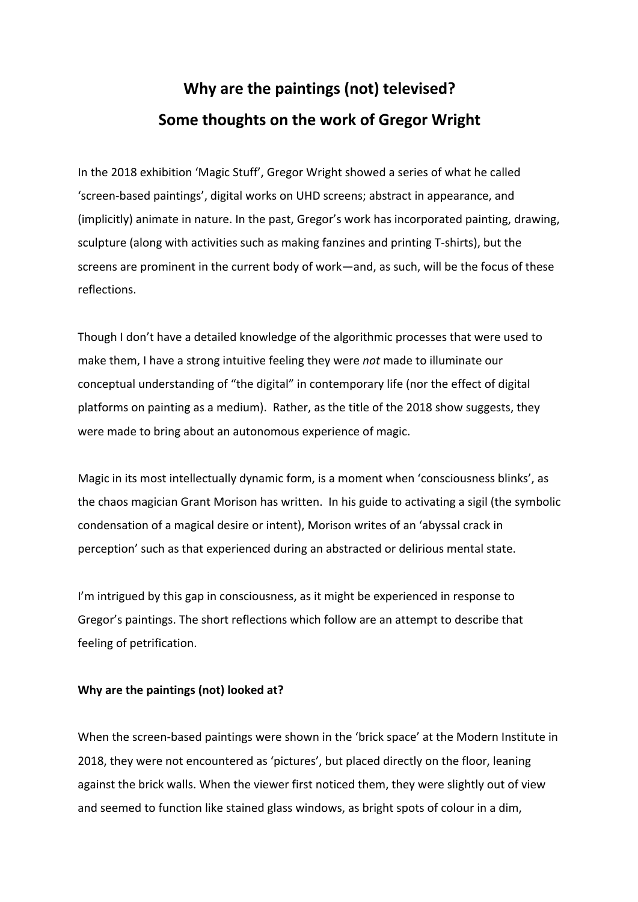# **Why are the paintings (not) televised? Some thoughts on the work of Gregor Wright**

In the 2018 exhibition 'Magic Stuff', Gregor Wright showed a series of what he called 'screen-based paintings', digital works on UHD screens; abstract in appearance, and (implicitly) animate in nature. In the past, Gregor's work has incorporated painting, drawing, sculpture (along with activities such as making fanzines and printing T-shirts), but the screens are prominent in the current body of work—and, as such, will be the focus of these reflections.

Though I don't have a detailed knowledge of the algorithmic processes that were used to make them, I have a strong intuitive feeling they were *not* made to illuminate our conceptual understanding of "the digital" in contemporary life (nor the effect of digital platforms on painting as a medium). Rather, as the title of the 2018 show suggests, they were made to bring about an autonomous experience of magic.

Magic in its most intellectually dynamic form, is a moment when 'consciousness blinks', as the chaos magician Grant Morison has written. In his guide to activating a sigil (the symbolic condensation of a magical desire or intent), Morison writes of an 'abyssal crack in perception' such as that experienced during an abstracted or delirious mental state.

I'm intrigued by this gap in consciousness, as it might be experienced in response to Gregor's paintings. The short reflections which follow are an attempt to describe that feeling of petrification.

### **Why are the paintings (not) looked at?**

When the screen-based paintings were shown in the 'brick space' at the Modern Institute in 2018, they were not encountered as 'pictures', but placed directly on the floor, leaning against the brick walls. When the viewer first noticed them, they were slightly out of view and seemed to function like stained glass windows, as bright spots of colour in a dim,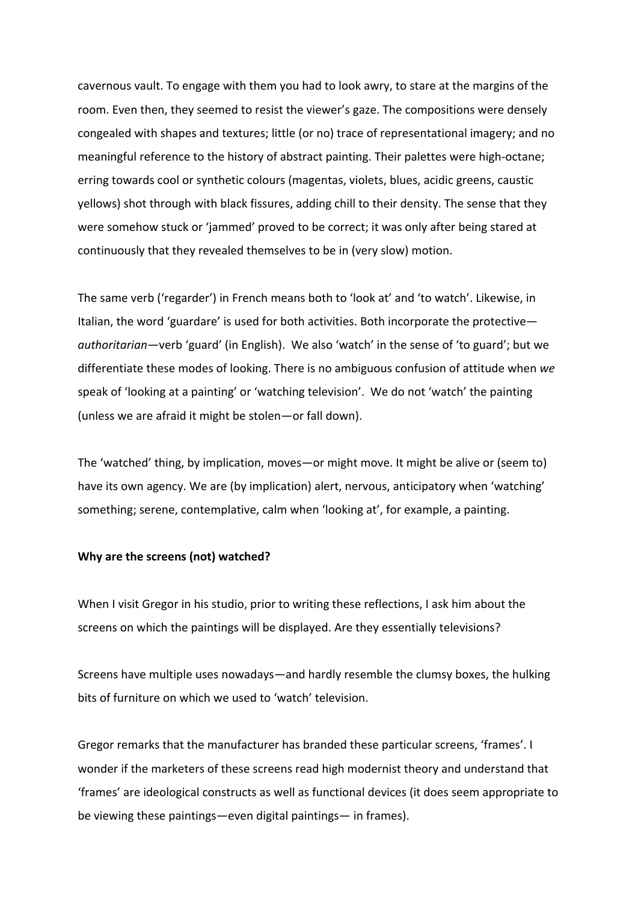cavernous vault. To engage with them you had to look awry, to stare at the margins of the room. Even then, they seemed to resist the viewer's gaze. The compositions were densely congealed with shapes and textures; little (or no) trace of representational imagery; and no meaningful reference to the history of abstract painting. Their palettes were high-octane; erring towards cool or synthetic colours (magentas, violets, blues, acidic greens, caustic yellows) shot through with black fissures, adding chill to their density. The sense that they were somehow stuck or 'jammed' proved to be correct; it was only after being stared at continuously that they revealed themselves to be in (very slow) motion.

The same verb ('regarder') in French means both to 'look at' and 'to watch'. Likewise, in Italian, the word 'guardare' is used for both activities. Both incorporate the protective *authoritarian*—verb 'guard' (in English). We also 'watch' in the sense of 'to guard'; but we differentiate these modes of looking. There is no ambiguous confusion of attitude when *we* speak of 'looking at a painting' or 'watching television'. We do not 'watch' the painting (unless we are afraid it might be stolen—or fall down).

The 'watched' thing, by implication, moves—or might move. It might be alive or (seem to) have its own agency. We are (by implication) alert, nervous, anticipatory when 'watching' something; serene, contemplative, calm when 'looking at', for example, a painting.

#### **Why are the screens (not) watched?**

When I visit Gregor in his studio, prior to writing these reflections, I ask him about the screens on which the paintings will be displayed. Are they essentially televisions?

Screens have multiple uses nowadays—and hardly resemble the clumsy boxes, the hulking bits of furniture on which we used to 'watch' television.

Gregor remarks that the manufacturer has branded these particular screens, 'frames'. I wonder if the marketers of these screens read high modernist theory and understand that 'frames' are ideological constructs as well as functional devices (it does seem appropriate to be viewing these paintings—even digital paintings— in frames).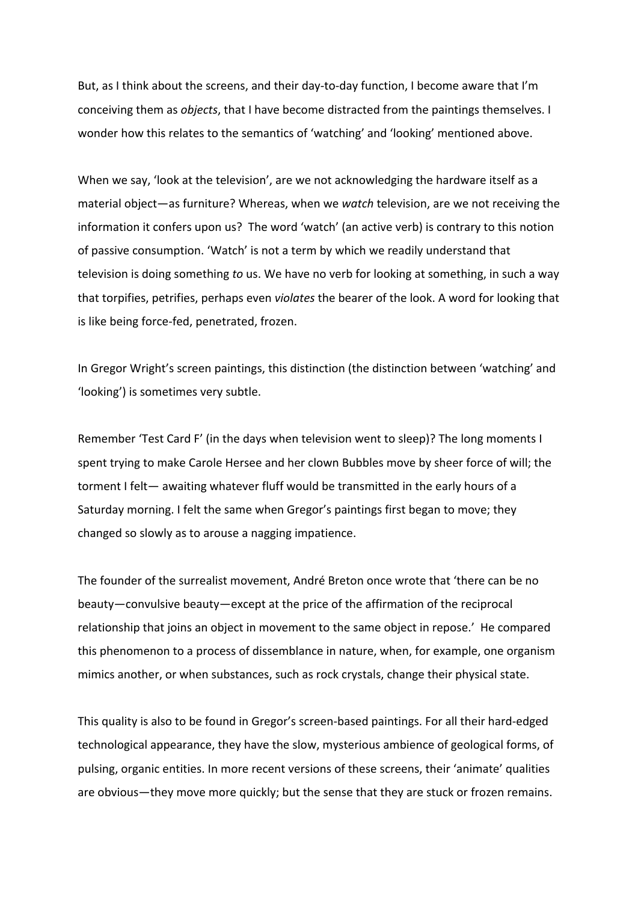But, as I think about the screens, and their day-to-day function, I become aware that I'm conceiving them as *objects*, that I have become distracted from the paintings themselves. I wonder how this relates to the semantics of 'watching' and 'looking' mentioned above.

When we say, 'look at the television', are we not acknowledging the hardware itself as a material object—as furniture? Whereas, when we *watch* television, are we not receiving the information it confers upon us? The word 'watch' (an active verb) is contrary to this notion of passive consumption. 'Watch' is not a term by which we readily understand that television is doing something *to* us. We have no verb for looking at something, in such a way that torpifies, petrifies, perhaps even *violates* the bearer of the look. A word for looking that is like being force-fed, penetrated, frozen.

In Gregor Wright's screen paintings, this distinction (the distinction between 'watching' and 'looking') is sometimes very subtle.

Remember 'Test Card F' (in the days when television went to sleep)? The long moments I spent trying to make Carole Hersee and her clown Bubbles move by sheer force of will; the torment I felt— awaiting whatever fluff would be transmitted in the early hours of a Saturday morning. I felt the same when Gregor's paintings first began to move; they changed so slowly as to arouse a nagging impatience.

The founder of the surrealist movement, André Breton once wrote that 'there can be no beauty—convulsive beauty—except at the price of the affirmation of the reciprocal relationship that joins an object in movement to the same object in repose.' He compared this phenomenon to a process of dissemblance in nature, when, for example, one organism mimics another, or when substances, such as rock crystals, change their physical state.

This quality is also to be found in Gregor's screen-based paintings. For all their hard-edged technological appearance, they have the slow, mysterious ambience of geological forms, of pulsing, organic entities. In more recent versions of these screens, their 'animate' qualities are obvious—they move more quickly; but the sense that they are stuck or frozen remains.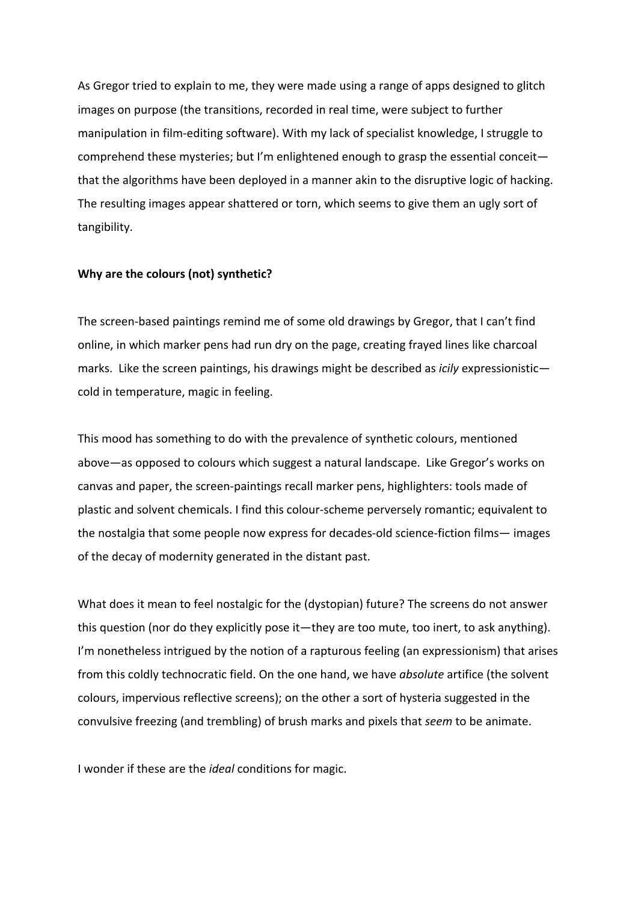As Gregor tried to explain to me, they were made using a range of apps designed to glitch images on purpose (the transitions, recorded in real time, were subject to further manipulation in film-editing software). With my lack of specialist knowledge, I struggle to comprehend these mysteries; but I'm enlightened enough to grasp the essential conceit that the algorithms have been deployed in a manner akin to the disruptive logic of hacking. The resulting images appear shattered or torn, which seems to give them an ugly sort of tangibility.

#### **Why are the colours (not) synthetic?**

The screen-based paintings remind me of some old drawings by Gregor, that I can't find online, in which marker pens had run dry on the page, creating frayed lines like charcoal marks. Like the screen paintings, his drawings might be described as *icily* expressionistic cold in temperature, magic in feeling.

This mood has something to do with the prevalence of synthetic colours, mentioned above—as opposed to colours which suggest a natural landscape. Like Gregor's works on canvas and paper, the screen-paintings recall marker pens, highlighters: tools made of plastic and solvent chemicals. I find this colour-scheme perversely romantic; equivalent to the nostalgia that some people now express for decades-old science-fiction films— images of the decay of modernity generated in the distant past.

What does it mean to feel nostalgic for the (dystopian) future? The screens do not answer this question (nor do they explicitly pose it—they are too mute, too inert, to ask anything). I'm nonetheless intrigued by the notion of a rapturous feeling (an expressionism) that arises from this coldly technocratic field. On the one hand, we have *absolute* artifice (the solvent colours, impervious reflective screens); on the other a sort of hysteria suggested in the convulsive freezing (and trembling) of brush marks and pixels that *seem* to be animate.

I wonder if these are the *ideal* conditions for magic.